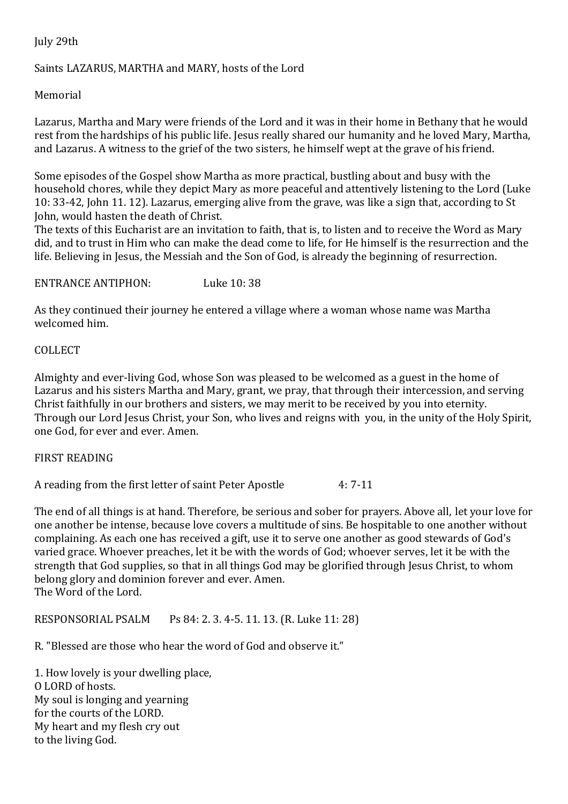### July 29th

## Saints LAZARUS, MARTHA and MARY, hosts of the Lord

## Memorial

Lazarus, Martha and Mary were friends of the Lord and it was in their home in Bethany that he would rest from the hardships of his public life. Jesus really shared our humanity and he loved Mary, Martha, and Lazarus. A witness to the grief of the two sisters, he himself wept at the grave of his friend.

Some episodes of the Gospel show Martha as more practical, bustling about and busy with the household chores, while they depict Mary as more peaceful and attentively listening to the Lord (Luke 10: 33-42, John 11. 12). Lazarus, emerging alive from the grave, was like a sign that, according to St John, would hasten the death of Christ.

The texts of this Eucharist are an invitation to faith, that is, to listen and to receive the Word as Mary did, and to trust in Him who can make the dead come to life, for He himself is the resurrection and the life. Believing in Jesus, the Messiah and the Son of God, is already the beginning of resurrection.

ENTRANCE ANTIPHON: Luke 10: 38

As they continued their journey he entered a village where a woman whose name was Martha welcomed him.

### COLLECT

Almighty and ever-living God, whose Son was pleased to be welcomed as a guest in the home of Lazarus and his sisters Martha and Mary, grant, we pray, that through their intercession, and serving Christ faithfully in our brothers and sisters, we may merit to be received by you into eternity. Through our Lord Jesus Christ, your Son, who lives and reigns with you, in the unity of the Holy Spirit, one God, for ever and ever. Amen.

#### FIRST READING

A reading from the first letter of saint Peter Apostle 4: 7-11

The end of all things is at hand. Therefore, be serious and sober for prayers. Above all, let your love for one another be intense, because love covers a multitude of sins. Be hospitable to one another without complaining. As each one has received a gift, use it to serve one another as good stewards of God's varied grace. Whoever preaches, let it be with the words of God; whoever serves, let it be with the strength that God supplies, so that in all things God may be glorified through Jesus Christ, to whom belong glory and dominion forever and ever. Amen. The Word of the Lord.

RESPONSORIAL PSALM Ps 84: 2. 3. 4-5. 11. 13. (R. Luke 11: 28)

R. "Blessed are those who hear the word of God and observe it."

1. How lovely is your dwelling place, O LORD of hosts. My soul is longing and yearning for the courts of the LORD. My heart and my flesh cry out to the living God.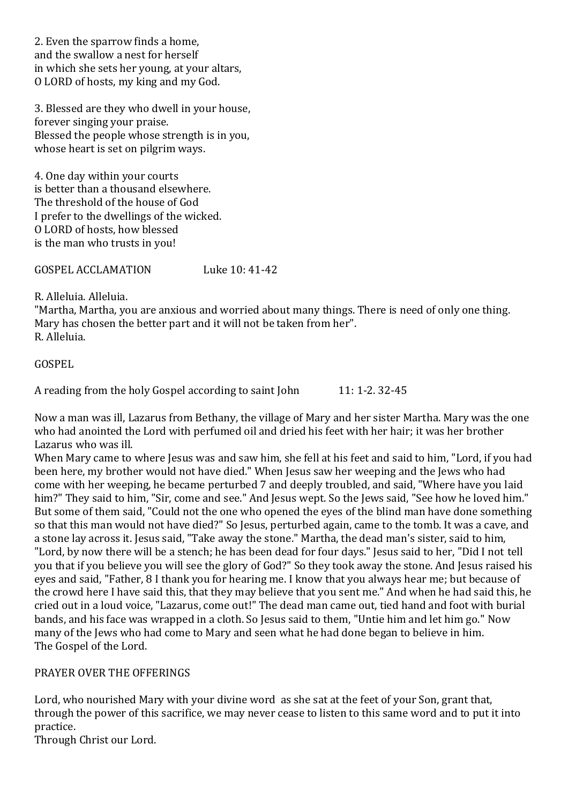2. Even the sparrow finds a home, and the swallow a nest for herself in which she sets her young, at your altars, O LORD of hosts, my king and my God.

3. Blessed are they who dwell in your house, forever singing your praise. Blessed the people whose strength is in you, whose heart is set on pilgrim ways.

4. One day within your courts is better than a thousand elsewhere. The threshold of the house of God I prefer to the dwellings of the wicked. O LORD of hosts, how blessed is the man who trusts in you!

GOSPEL ACCLAMATION Luke 10: 41-42

R. Alleluia. Alleluia.

"Martha, Martha, you are anxious and worried about many things. There is need of only one thing. Mary has chosen the better part and it will not be taken from her". R. Alleluia.

# GOSPEL

A reading from the holy Gospel according to saint John 11: 1-2. 32-45

Now a man was ill, Lazarus from Bethany, the village of Mary and her sister Martha. Mary was the one who had anointed the Lord with perfumed oil and dried his feet with her hair; it was her brother Lazarus who was ill.

When Mary came to where Jesus was and saw him, she fell at his feet and said to him, "Lord, if you had been here, my brother would not have died." When Jesus saw her weeping and the Jews who had come with her weeping, he became perturbed 7 and deeply troubled, and said, "Where have you laid him?" They said to him, "Sir, come and see." And Jesus wept. So the Jews said, "See how he loved him." But some of them said, "Could not the one who opened the eyes of the blind man have done something so that this man would not have died?" So Jesus, perturbed again, came to the tomb. It was a cave, and a stone lay across it. Jesus said, "Take away the stone." Martha, the dead man's sister, said to him, "Lord, by now there will be a stench; he has been dead for four days." Jesus said to her, "Did I not tell you that if you believe you will see the glory of God?" So they took away the stone. And Jesus raised his eyes and said, "Father, 8 I thank you for hearing me. I know that you always hear me; but because of the crowd here I have said this, that they may believe that you sent me." And when he had said this, he cried out in a loud voice, "Lazarus, come out!" The dead man came out, tied hand and foot with burial bands, and his face was wrapped in a cloth. So Jesus said to them, "Untie him and let him go." Now many of the Jews who had come to Mary and seen what he had done began to believe in him. The Gospel of the Lord.

# PRAYER OVER THE OFFERINGS

Lord, who nourished Mary with your divine word as she sat at the feet of your Son, grant that, through the power of this sacrifice, we may never cease to listen to this same word and to put it into practice.

Through Christ our Lord.